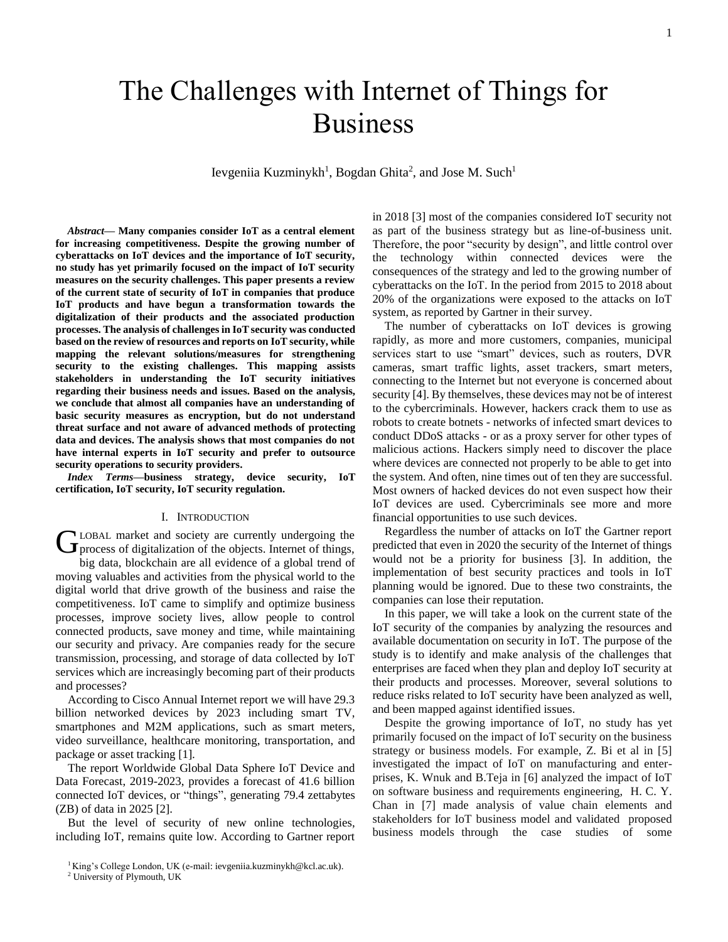# The Challenges with Internet of Things for Business

Ievgeniia Kuzminykh<sup>1</sup>, Bogdan Ghita<sup>2</sup>, and Jose M. Such<sup>1</sup>

*Abstract***— Many companies consider IoT as a central element for increasing competitiveness. Despite the growing number of cyberattacks on IoT devices and the importance of IoT security, no study has yet primarily focused on the impact of IoT security measures on the security challenges. This paper presents a review of the current state of security of IoT in companies that produce IoT products and have begun a transformation towards the digitalization of their products and the associated production processes. The analysis of challenges in IoT security was conducted based on the review of resources and reports on IoT security, while mapping the relevant solutions/measures for strengthening security to the existing challenges. This mapping assists stakeholders in understanding the IoT security initiatives regarding their business needs and issues. Based on the analysis, we conclude that almost all companies have an understanding of basic security measures as encryption, but do not understand threat surface and not aware of advanced methods of protecting data and devices. The analysis shows that most companies do not have internal experts in IoT security and prefer to outsource security operations to security providers.**

*Index Terms***—business strategy, device security, IoT certification, IoT security, IoT security regulation.**

#### I. INTRODUCTION

LOBAL market and society are currently undergoing the GLOBAL market and society are currently undergoing the process of digitalization of the objects. Internet of things, big data, blockchain are all evidence of a global trend of moving valuables and activities from the physical world to the digital world that drive growth of the business and raise the competitiveness. IoT came to simplify and optimize business processes, improve society lives, allow people to control connected products, save money and time, while maintaining our security and privacy. Are companies ready for the secure transmission, processing, and storage of data collected by IoT services which are increasingly becoming part of their products and processes?

According to Cisco Annual Internet report we will have 29.3 billion networked devices by 2023 including smart TV, smartphones and M2M applications, such as smart meters, video surveillance, healthcare monitoring, transportation, and package or asset tracking [1].

The report Worldwide Global Data Sphere IoT Device and Data Forecast, 2019-2023, provides a forecast of 41.6 billion connected IoT devices, or "things", generating 79.4 zettabytes (ZB) of data in 2025 [2].

But the level of security of new online technologies, including IoT, remains quite low. According to Gartner report in 2018 [3] most of the companies considered IoT security not as part of the business strategy but as line-of-business unit. Therefore, the poor "security by design", and little control over the technology within connected devices were the consequences of the strategy and led to the growing number of cyberattacks on the IoT. In the period from 2015 to 2018 about 20% of the organizations were exposed to the attacks on IoT system, as reported by Gartner in their survey.

The number of cyberattacks on IoT devices is growing rapidly, as more and more customers, companies, municipal services start to use "smart" devices, such as routers, DVR cameras, smart traffic lights, asset trackers, smart meters, connecting to the Internet but not everyone is concerned about security [4]. By themselves, these devices may not be of interest to the cybercriminals. However, hackers crack them to use as robots to create botnets - networks of infected smart devices to conduct DDoS attacks - or as a proxy server for other types of malicious actions. Hackers simply need to discover the place where devices are connected not properly to be able to get into the system. And often, nine times out of ten they are successful. Most owners of hacked devices do not even suspect how their IoT devices are used. Cybercriminals see more and more financial opportunities to use such devices.

Regardless the number of attacks on IoT the Gartner report predicted that even in 2020 the security of the Internet of things would not be a priority for business [3]. In addition, the implementation of best security practices and tools in IoT planning would be ignored. Due to these two constraints, the companies can lose their reputation.

In this paper, we will take a look on the current state of the IoT security of the companies by analyzing the resources and available documentation on security in IoT. The purpose of the study is to identify and make analysis of the challenges that enterprises are faced when they plan and deploy IoT security at their products and processes. Moreover, several solutions to reduce risks related to IoT security have been analyzed as well, and been mapped against identified issues.

Despite the growing importance of IoT, no study has yet primarily focused on the impact of IoT security on the business strategy or business models. For example, Z. Bi et al in [5] investigated the impact of IoT on manufacturing and enterprises, K. Wnuk and B.Teja in [6] analyzed the impact of IoT on software business and requirements engineering, H. C. Y. Chan in [7] made analysis of value chain elements and stakeholders for IoT business model and validated proposed business models through the case studies of some

 $1$ King's College London, UK (e-mail: ievgeniia.kuzminykh@kcl.ac.uk).

<sup>2</sup> University of Plymouth, UK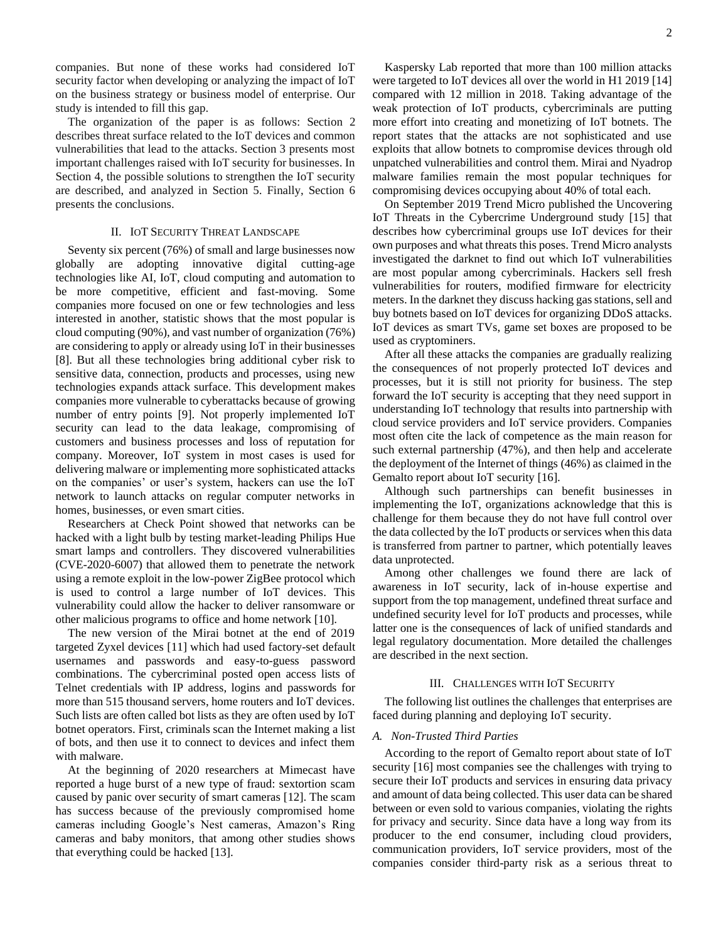companies. But none of these works had considered IoT security factor when developing or analyzing the impact of IoT on the business strategy or business model of enterprise. Our study is intended to fill this gap.

The organization of the paper is as follows: Section 2 describes threat surface related to the IoT devices and common vulnerabilities that lead to the attacks. Section 3 presents most important challenges raised with IoT security for businesses. In Section 4, the possible solutions to strengthen the IoT security are described, and analyzed in Section 5. Finally, Section 6 presents the conclusions.

#### II. IOT SECURITY THREAT LANDSCAPE

Seventy six percent (76%) of small and large businesses now globally are adopting innovative digital cutting-age technologies like AI, IoT, cloud computing and automation to be more competitive, efficient and fast-moving. Some companies more focused on one or few technologies and less interested in another, statistic shows that the most popular is cloud computing (90%), and vast number of organization (76%) are considering to apply or already using IoT in their businesses [8]. But all these technologies bring additional cyber risk to sensitive data, connection, products and processes, using new technologies expands attack surface. This development makes companies more vulnerable to cyberattacks because of growing number of entry points [9]. Not properly implemented IoT security can lead to the data leakage, compromising of customers and business processes and loss of reputation for company. Moreover, IoT system in most cases is used for delivering malware or implementing more sophisticated attacks on the companies' or user's system, hackers can use the IoT network to launch attacks on regular computer networks in homes, businesses, or even smart cities.

Researchers at Check Point showed that networks can be hacked with a light bulb by testing market-leading Philips Hue smart lamps and controllers. They discovered vulnerabilities (CVE-2020-6007) that allowed them to penetrate the network using a remote exploit in the low-power ZigBee protocol which is used to control a large number of IoT devices. This vulnerability could allow the hacker to deliver ransomware or other malicious programs to office and home network [10].

The new version of the Mirai botnet at the end of 2019 targeted Zyxel devices [11] which had used factory-set default usernames and passwords and easy-to-guess password combinations. The cybercriminal posted open access lists of Telnet credentials with IP address, logins and passwords for more than 515 thousand servers, home routers and IoT devices. Such lists are often called bot lists as they are often used by IoT botnet operators. First, criminals scan the Internet making a list of bots, and then use it to connect to devices and infect them with malware.

At the beginning of 2020 researchers at Mimecast have reported a huge burst of a new type of fraud: sextortion scam caused by panic over security of smart cameras [12]. The scam has success because of the previously compromised home cameras including Google's Nest cameras, Amazon's Ring cameras and baby monitors, that among other studies shows that everything could be hacked [13].

Kaspersky Lab reported that more than 100 million attacks were targeted to IoT devices all over the world in H1 2019 [14] compared with 12 million in 2018. Taking advantage of the weak protection of IoT products, cybercriminals are putting more effort into creating and monetizing of IoT botnets. The report states that the attacks are not sophisticated and use exploits that allow botnets to compromise devices through old unpatched vulnerabilities and control them. Mirai and Nyadrop malware families remain the most popular techniques for compromising devices occupying about 40% of total each.

On September 2019 Trend Micro published the Uncovering IoT Threats in the Cybercrime Underground study [15] that describes how cybercriminal groups use IoT devices for their own purposes and what threats this poses. Trend Micro analysts investigated the darknet to find out which IoT vulnerabilities are most popular among cybercriminals. Hackers sell fresh vulnerabilities for routers, modified firmware for electricity meters. In the darknet they discuss hacking gas stations, sell and buy botnets based on IoT devices for organizing DDoS attacks. IoT devices as smart TVs, game set boxes are proposed to be used as cryptominers.

After all these attacks the companies are gradually realizing the consequences of not properly protected IoT devices and processes, but it is still not priority for business. The step forward the IoT security is accepting that they need support in understanding IoT technology that results into partnership with cloud service providers and IoT service providers. Companies most often cite the lack of competence as the main reason for such external partnership (47%), and then help and accelerate the deployment of the Internet of things (46%) as claimed in the Gemalto report about IoT security [16].

Although such partnerships can benefit businesses in implementing the IoT, organizations acknowledge that this is challenge for them because they do not have full control over the data collected by the IoT products or services when this data is transferred from partner to partner, which potentially leaves data unprotected.

Among other challenges we found there are lack of awareness in IoT security, lack of in-house expertise and support from the top management, undefined threat surface and undefined security level for IoT products and processes, while latter one is the consequences of lack of unified standards and legal regulatory documentation. More detailed the challenges are described in the next section.

#### III. CHALLENGES WITH IOT SECURITY

The following list outlines the challenges that enterprises are faced during planning and deploying IoT security.

#### *A. Non-Trusted Third Parties*

According to the report of Gemalto report about state of IoT security [16] most companies see the challenges with trying to secure their IoT products and services in ensuring data privacy and amount of data being collected. This user data can be shared between or even sold to various companies, violating the rights for privacy and security. Since data have a long way from its producer to the end consumer, including cloud providers, communication providers, IoT service providers, most of the companies consider third-party risk as a serious threat to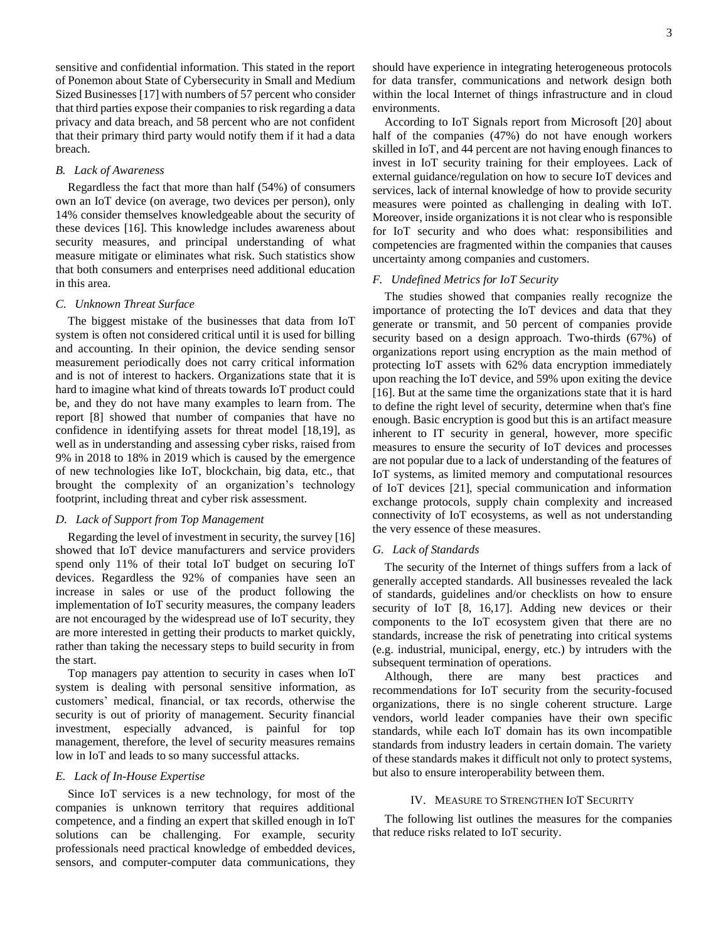sensitive and confidential information. This stated in the report of Ponemon about State of Cybersecurity in Small and Medium Sized Businesses [17] with numbers of 57 percent who consider that third parties expose their companies to risk regarding a data privacy and data breach, and 58 percent who are not confident that their primary third party would notify them if it had a data breach.

# *B. Lack of Awareness*

Regardless the fact that more than half (54%) of consumers own an IoT device (on average, two devices per person), only 14% consider themselves knowledgeable about the security of these devices [16]. This knowledge includes awareness about security measures, and principal understanding of what measure mitigate or eliminates what risk. Such statistics show that both consumers and enterprises need additional education in this area.

#### *C. Unknown Threat Surface*

The biggest mistake of the businesses that data from IoT system is often not considered critical until it is used for billing and accounting. In their opinion, the device sending sensor measurement periodically does not carry critical information and is not of interest to hackers. Organizations state that it is hard to imagine what kind of threats towards IoT product could be, and they do not have many examples to learn from. The report [8] showed that number of companies that have no confidence in identifying assets for threat model [18,19], as well as in understanding and assessing cyber risks, raised from 9% in 2018 to 18% in 2019 which is caused by the emergence of new technologies like IoT, blockchain, big data, etc., that brought the complexity of an organization's technology footprint, including threat and cyber risk assessment.

# *D. Lack of Support from Top Management*

Regarding the level of investment in security, the survey [16] showed that IoT device manufacturers and service providers spend only 11% of their total IoT budget on securing IoT devices. Regardless the 92% of companies have seen an increase in sales or use of the product following the implementation of IoT security measures, the company leaders are not encouraged by the widespread use of IoT security, they are more interested in getting their products to market quickly, rather than taking the necessary steps to build security in from the start.

Top managers pay attention to security in cases when IoT system is dealing with personal sensitive information, as customers' medical, financial, or tax records, otherwise the security is out of priority of management. Security financial investment, especially advanced, is painful for top management, therefore, the level of security measures remains low in IoT and leads to so many successful attacks.

# *E. Lack of In-House Expertise*

Since IoT services is a new technology, for most of the companies is unknown territory that requires additional competence, and a finding an expert that skilled enough in IoT solutions can be challenging. For example, security professionals need practical knowledge of embedded devices, sensors, and computer-computer data communications, they should have experience in integrating heterogeneous protocols for data transfer, communications and network design both within the local Internet of things infrastructure and in cloud environments.

According to IoT Signals report from Microsoft [20] about half of the companies (47%) do not have enough workers skilled in IoT, and 44 percent are not having enough finances to invest in IoT security training for their employees. Lack of external guidance/regulation on how to secure IoT devices and services, lack of internal knowledge of how to provide security measures were pointed as challenging in dealing with IoT. Moreover, inside organizations it is not clear who is responsible for IoT security and who does what: responsibilities and competencies are fragmented within the companies that causes uncertainty among companies and customers.

#### *F. Undefined Metrics for IoT Security*

The studies showed that companies really recognize the importance of protecting the IoT devices and data that they generate or transmit, and 50 percent of companies provide security based on a design approach. Two-thirds (67%) of organizations report using encryption as the main method of protecting IoT assets with 62% data encryption immediately upon reaching the IoT device, and 59% upon exiting the device [16]. But at the same time the organizations state that it is hard to define the right level of security, determine when that's fine enough. Basic encryption is good but this is an artifact measure inherent to IT security in general, however, more specific measures to ensure the security of IoT devices and processes are not popular due to a lack of understanding of the features of IoT systems, as limited memory and computational resources of IoT devices [21], special communication and information exchange protocols, supply chain complexity and increased connectivity of IoT ecosystems, as well as not understanding the very essence of these measures.

#### *G. Lack of Standards*

The security of the Internet of things suffers from a lack of generally accepted standards. All businesses revealed the lack of standards, guidelines and/or checklists on how to ensure security of IoT [8, 16,17]. Adding new devices or their components to the IoT ecosystem given that there are no standards, increase the risk of penetrating into critical systems (e.g. industrial, municipal, energy, etc.) by intruders with the subsequent termination of operations.

Although, there are many best practices and recommendations for IoT security from the security-focused organizations, there is no single coherent structure. Large vendors, world leader companies have their own specific standards, while each IoT domain has its own incompatible standards from industry leaders in certain domain. The variety of these standards makes it difficult not only to protect systems, but also to ensure interoperability between them.

#### IV. MEASURE TO STRENGTHEN IOT SECURITY

The following list outlines the measures for the companies that reduce risks related to IoT security.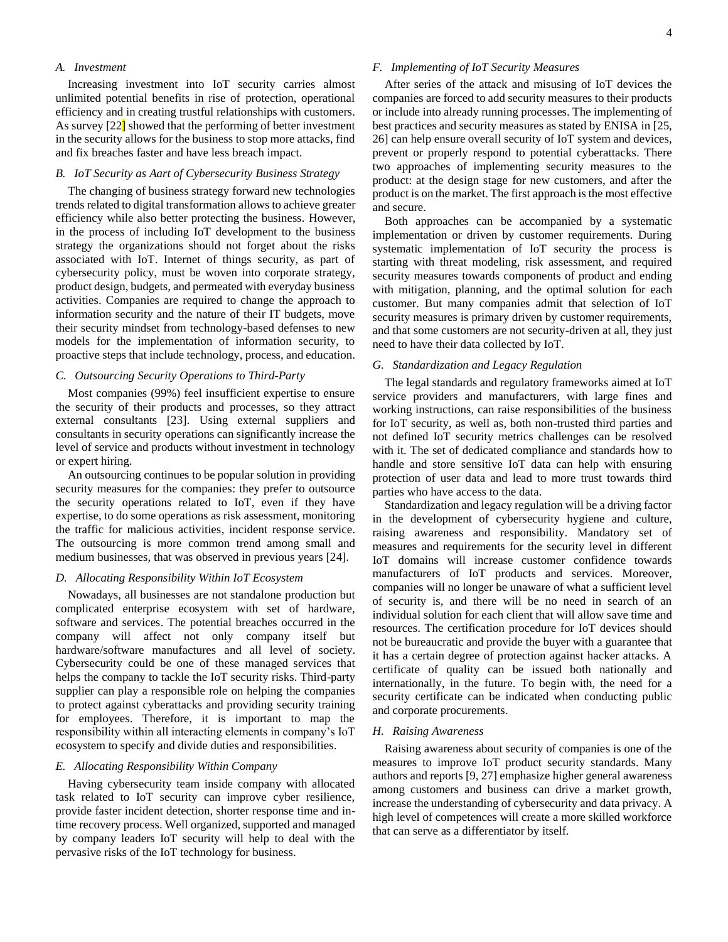#### *A. Investment*

Increasing investment into IoT security carries almost unlimited potential benefits in rise of protection, operational efficiency and in creating trustful relationships with customers. As survey [22] showed that the performing of better investment in the security allows for the business to stop more attacks, find and fix breaches faster and have less breach impact.

# *B. IoT Security as Aart of Cybersecurity Business Strategy*

The changing of business strategy forward new technologies trends related to digital transformation allows to achieve greater efficiency while also better protecting the business. However, in the process of including IoT development to the business strategy the organizations should not forget about the risks associated with IoT. Internet of things security, as part of cybersecurity policy, must be woven into corporate strategy, product design, budgets, and permeated with everyday business activities. Companies are required to change the approach to information security and the nature of their IT budgets, move their security mindset from technology-based defenses to new models for the implementation of information security, to proactive steps that include technology, process, and education.

# *C. Outsourcing Security Operations to Third-Party*

Most companies (99%) feel insufficient expertise to ensure the security of their products and processes, so they attract external consultants [23]. Using external suppliers and consultants in security operations can significantly increase the level of service and products without investment in technology or expert hiring.

An outsourcing continues to be popular solution in providing security measures for the companies: they prefer to outsource the security operations related to IoT, even if they have expertise, to do some operations as risk assessment, monitoring the traffic for malicious activities, incident response service. The outsourcing is more common trend among small and medium businesses, that was observed in previous years [24].

#### *D. Allocating Responsibility Within IoT Ecosystem*

Nowadays, all businesses are not standalone production but complicated enterprise ecosystem with set of hardware, software and services. The potential breaches occurred in the company will affect not only company itself but hardware/software manufactures and all level of society. Cybersecurity could be one of these managed services that helps the company to tackle the IoT security risks. Third-party supplier can play a responsible role on helping the companies to protect against cyberattacks and providing security training for employees. Therefore, it is important to map the responsibility within all interacting elements in company's IoT ecosystem to specify and divide duties and responsibilities.

# *E. Allocating Responsibility Within Company*

Having cybersecurity team inside company with allocated task related to IoT security can improve cyber resilience, provide faster incident detection, shorter response time and intime recovery process. Well organized, supported and managed by company leaders IoT security will help to deal with the pervasive risks of the IoT technology for business.

#### *F. Implementing of IoT Security Measures*

After series of the attack and misusing of IoT devices the companies are forced to add security measures to their products or include into already running processes. The implementing of best practices and security measures as stated by ENISA in [25, 26] can help ensure overall security of IoT system and devices, prevent or properly respond to potential cyberattacks. There two approaches of implementing security measures to the product: at the design stage for new customers, and after the product is on the market. The first approach is the most effective and secure.

Both approaches can be accompanied by a systematic implementation or driven by customer requirements. During systematic implementation of IoT security the process is starting with threat modeling, risk assessment, and required security measures towards components of product and ending with mitigation, planning, and the optimal solution for each customer. But many companies admit that selection of IoT security measures is primary driven by customer requirements, and that some customers are not security-driven at all, they just need to have their data collected by IoT.

# *G. Standardization and Legacy Regulation*

The legal standards and regulatory frameworks aimed at IoT service providers and manufacturers, with large fines and working instructions, can raise responsibilities of the business for IoT security, as well as, both non-trusted third parties and not defined IoT security metrics challenges can be resolved with it. The set of dedicated compliance and standards how to handle and store sensitive IoT data can help with ensuring protection of user data and lead to more trust towards third parties who have access to the data.

Standardization and legacy regulation will be a driving factor in the development of cybersecurity hygiene and culture, raising awareness and responsibility. Mandatory set of measures and requirements for the security level in different IoT domains will increase customer confidence towards manufacturers of IoT products and services. Moreover, companies will no longer be unaware of what a sufficient level of security is, and there will be no need in search of an individual solution for each client that will allow save time and resources. The certification procedure for IoT devices should not be bureaucratic and provide the buyer with a guarantee that it has a certain degree of protection against hacker attacks. A certificate of quality can be issued both nationally and internationally, in the future. To begin with, the need for a security certificate can be indicated when conducting public and corporate procurements.

# *H. Raising Awareness*

Raising awareness about security of companies is one of the measures to improve IoT product security standards. Many authors and reports [9, 27] emphasize higher general awareness among customers and business can drive a market growth, increase the understanding of cybersecurity and data privacy. A high level of competences will create a more skilled workforce that can serve as a differentiator by itself.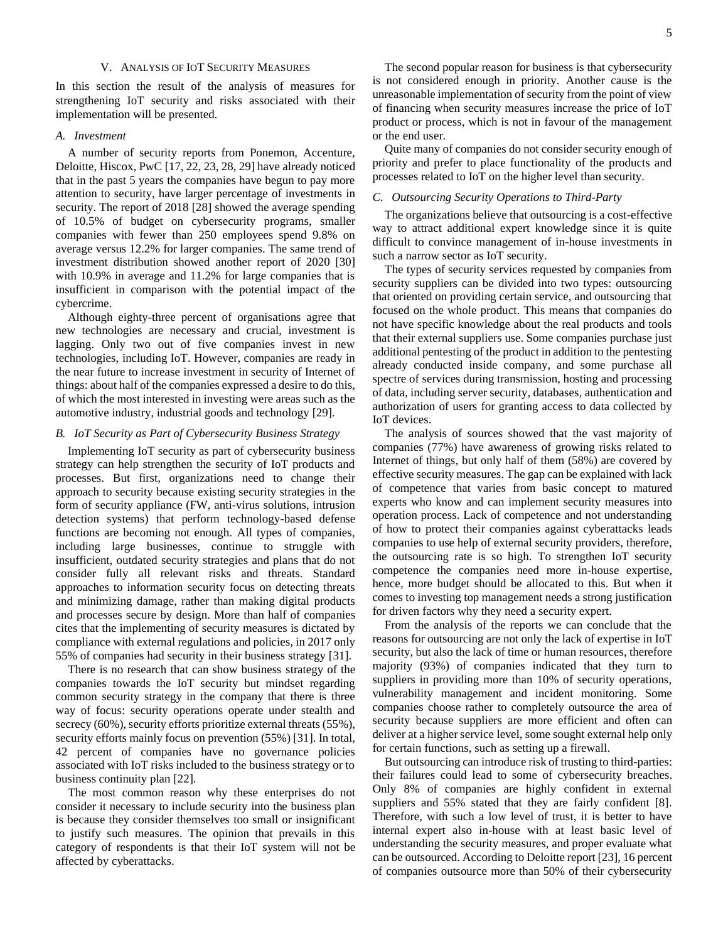# V. ANALYSIS OF IOT SECURITY MEASURES

In this section the result of the analysis of measures for strengthening IoT security and risks associated with their implementation will be presented.

# *A. Investment*

A number of security reports from Ponemon, Accenture, Deloitte, Hiscox, PwC [17, 22, 23, 28, 29] have already noticed that in the past 5 years the companies have begun to pay more attention to security, have larger percentage of investments in security. The report of 2018 [28] showed the average spending of 10.5% of budget on cybersecurity programs, smaller companies with fewer than 250 employees spend 9.8% on average versus 12.2% for larger companies. The same trend of investment distribution showed another report of 2020 [30] with 10.9% in average and 11.2% for large companies that is insufficient in comparison with the potential impact of the cybercrime.

Although eighty-three percent of organisations agree that new technologies are necessary and crucial, investment is lagging. Only two out of five companies invest in new technologies, including IoT. However, companies are ready in the near future to increase investment in security of Internet of things: about half of the companies expressed a desire to do this, of which the most interested in investing were areas such as the automotive industry, industrial goods and technology [29].

# *B. IoT Security as Part of Cybersecurity Business Strategy*

Implementing IoT security as part of cybersecurity business strategy can help strengthen the security of IoT products and processes. But first, organizations need to change their approach to security because existing security strategies in the form of security appliance (FW, anti-virus solutions, intrusion detection systems) that perform technology-based defense functions are becoming not enough. All types of companies, including large businesses, continue to struggle with insufficient, outdated security strategies and plans that do not consider fully all relevant risks and threats. Standard approaches to information security focus on detecting threats and minimizing damage, rather than making digital products and processes secure by design. More than half of companies cites that the implementing of security measures is dictated by compliance with external regulations and policies, in 2017 only 55% of companies had security in their business strategy [31].

There is no research that can show business strategy of the companies towards the IoT security but mindset regarding common security strategy in the company that there is three way of focus: security operations operate under stealth and secrecy (60%), security efforts prioritize external threats (55%), security efforts mainly focus on prevention (55%) [31]. In total, 42 percent of companies have no governance policies associated with IoT risks included to the business strategy or to business continuity plan [22].

The most common reason why these enterprises do not consider it necessary to include security into the business plan is because they consider themselves too small or insignificant to justify such measures. The opinion that prevails in this category of respondents is that their IoT system will not be affected by cyberattacks.

The second popular reason for business is that cybersecurity is not considered enough in priority. Another cause is the unreasonable implementation of security from the point of view of financing when security measures increase the price of IoT product or process, which is not in favour of the management or the end user.

Quite many of companies do not consider security enough of priority and prefer to place functionality of the products and processes related to IoT on the higher level than security.

### *C. Outsourcing Security Operations to Third-Party*

The organizations believe that outsourcing is a cost-effective way to attract additional expert knowledge since it is quite difficult to convince management of in-house investments in such a narrow sector as IoT security.

The types of security services requested by companies from security suppliers can be divided into two types: outsourcing that oriented on providing certain service, and outsourcing that focused on the whole product. This means that companies do not have specific knowledge about the real products and tools that their external suppliers use. Some companies purchase just additional pentesting of the product in addition to the pentesting already conducted inside company, and some purchase all spectre of services during transmission, hosting and processing of data, including server security, databases, authentication and authorization of users for granting access to data collected by IoT devices.

The analysis of sources showed that the vast majority of companies (77%) have awareness of growing risks related to Internet of things, but only half of them (58%) are covered by effective security measures. The gap can be explained with lack of competence that varies from basic concept to matured experts who know and can implement security measures into operation process. Lack of competence and not understanding of how to protect their companies against cyberattacks leads companies to use help of external security providers, therefore, the outsourcing rate is so high. To strengthen IoT security competence the companies need more in-house expertise, hence, more budget should be allocated to this. But when it comes to investing top management needs a strong justification for driven factors why they need a security expert.

From the analysis of the reports we can conclude that the reasons for outsourcing are not only the lack of expertise in IoT security, but also the lack of time or human resources, therefore majority (93%) of companies indicated that they turn to suppliers in providing more than 10% of security operations, vulnerability management and incident monitoring. Some companies choose rather to completely outsource the area of security because suppliers are more efficient and often can deliver at a higher service level, some sought external help only for certain functions, such as setting up a firewall.

But outsourcing can introduce risk of trusting to third-parties: their failures could lead to some of cybersecurity breaches. Only 8% of companies are highly confident in external suppliers and 55% stated that they are fairly confident [8]. Therefore, with such a low level of trust, it is better to have internal expert also in-house with at least basic level of understanding the security measures, and proper evaluate what can be outsourced. According to Deloitte report [23], 16 percent of companies outsource more than 50% of their cybersecurity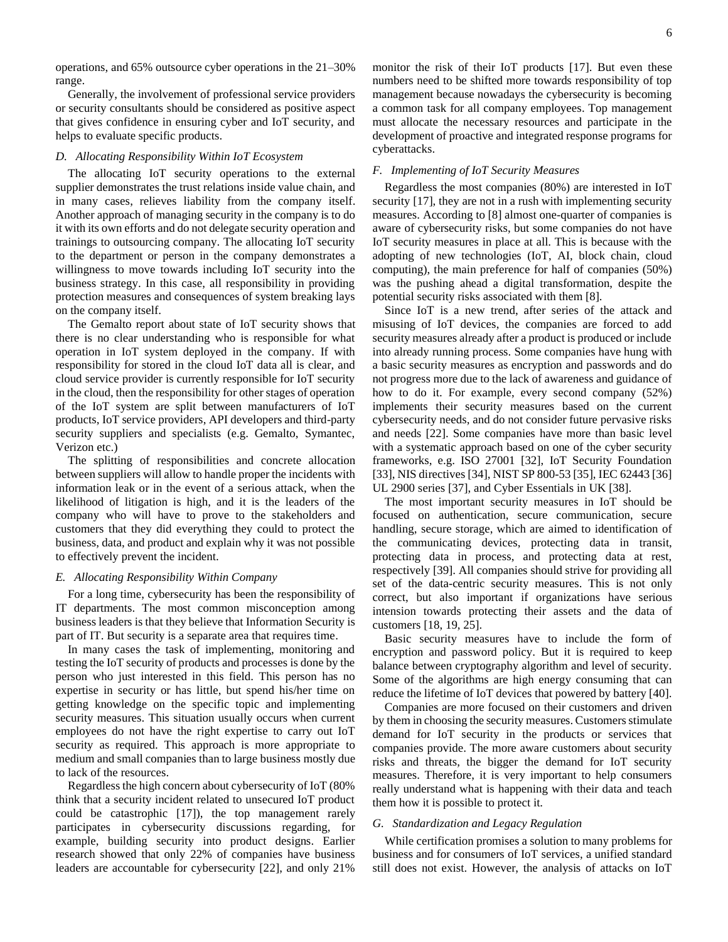operations, and 65% outsource cyber operations in the 21–30% range.

Generally, the involvement of professional service providers or security consultants should be considered as positive aspect that gives confidence in ensuring cyber and IoT security, and helps to evaluate specific products.

# *D. Allocating Responsibility Within IoT Ecosystem*

The allocating IoT security operations to the external supplier demonstrates the trust relations inside value chain, and in many cases, relieves liability from the company itself. Another approach of managing security in the company is to do it with its own efforts and do not delegate security operation and trainings to outsourcing company. The allocating IoT security to the department or person in the company demonstrates a willingness to move towards including IoT security into the business strategy. In this case, all responsibility in providing protection measures and consequences of system breaking lays on the company itself.

The Gemalto report about state of IoT security shows that there is no clear understanding who is responsible for what operation in IoT system deployed in the company. If with responsibility for stored in the cloud IoT data all is clear, and cloud service provider is currently responsible for IoT security in the cloud, then the responsibility for other stages of operation of the IoT system are split between manufacturers of IoT products, IoT service providers, API developers and third-party security suppliers and specialists (e.g. Gemalto, Symantec, Verizon etc.)

The splitting of responsibilities and concrete allocation between suppliers will allow to handle proper the incidents with information leak or in the event of a serious attack, when the likelihood of litigation is high, and it is the leaders of the company who will have to prove to the stakeholders and customers that they did everything they could to protect the business, data, and product and explain why it was not possible to effectively prevent the incident.

#### *E. Allocating Responsibility Within Company*

For a long time, cybersecurity has been the responsibility of IT departments. The most common misconception among business leaders is that they believe that Information Security is part of IT. But security is a separate area that requires time.

In many cases the task of implementing, monitoring and testing the IoT security of products and processes is done by the person who just interested in this field. This person has no expertise in security or has little, but spend his/her time on getting knowledge on the specific topic and implementing security measures. This situation usually occurs when current employees do not have the right expertise to carry out IoT security as required. This approach is more appropriate to medium and small companies than to large business mostly due to lack of the resources.

Regardless the high concern about cybersecurity of IoT (80% think that a security incident related to unsecured IoT product could be catastrophic [17]), the top management rarely participates in cybersecurity discussions regarding, for example, building security into product designs. Earlier research showed that only 22% of companies have business leaders are accountable for cybersecurity [22], and only 21%

monitor the risk of their IoT products [17]. But even these numbers need to be shifted more towards responsibility of top management because nowadays the cybersecurity is becoming a common task for all company employees. Top management must allocate the necessary resources and participate in the development of proactive and integrated response programs for cyberattacks.

# *F. Implementing of IoT Security Measures*

Regardless the most companies (80%) are interested in IoT security [17], they are not in a rush with implementing security measures. According to [8] almost one-quarter of companies is aware of cybersecurity risks, but some companies do not have IoT security measures in place at all. This is because with the adopting of new technologies (IoT, AI, block chain, cloud computing), the main preference for half of companies (50%) was the pushing ahead a digital transformation, despite the potential security risks associated with them [8].

Since IoT is a new trend, after series of the attack and misusing of IoT devices, the companies are forced to add security measures already after a product is produced or include into already running process. Some companies have hung with a basic security measures as encryption and passwords and do not progress more due to the lack of awareness and guidance of how to do it. For example, every second company (52%) implements their security measures based on the current cybersecurity needs, and do not consider future pervasive risks and needs [22]. Some companies have more than basic level with a systematic approach based on one of the cyber security frameworks, e.g. ISO 27001 [32], IoT Security Foundation [33], NIS directives [34], NIST SP 800-53 [35], IEC 62443 [36] UL 2900 series [37], and Cyber Essentials in UK [38].

The most important security measures in IoT should be focused on authentication, secure communication, secure handling, secure storage, which are aimed to identification of the communicating devices, protecting data in transit, protecting data in process, and protecting data at rest, respectively [39]. All companies should strive for providing all set of the data-centric security measures. This is not only correct, but also important if organizations have serious intension towards protecting their assets and the data of customers [18, 19, 25].

Basic security measures have to include the form of encryption and password policy. But it is required to keep balance between cryptography algorithm and level of security. Some of the algorithms are high energy consuming that can reduce the lifetime of IoT devices that powered by battery [40].

Companies are more focused on their customers and driven by them in choosing the security measures. Customers stimulate demand for IoT security in the products or services that companies provide. The more aware customers about security risks and threats, the bigger the demand for IoT security measures. Therefore, it is very important to help consumers really understand what is happening with their data and teach them how it is possible to protect it.

# *G. Standardization and Legacy Regulation*

While certification promises a solution to many problems for business and for consumers of IoT services, a unified standard still does not exist. However, the analysis of attacks on IoT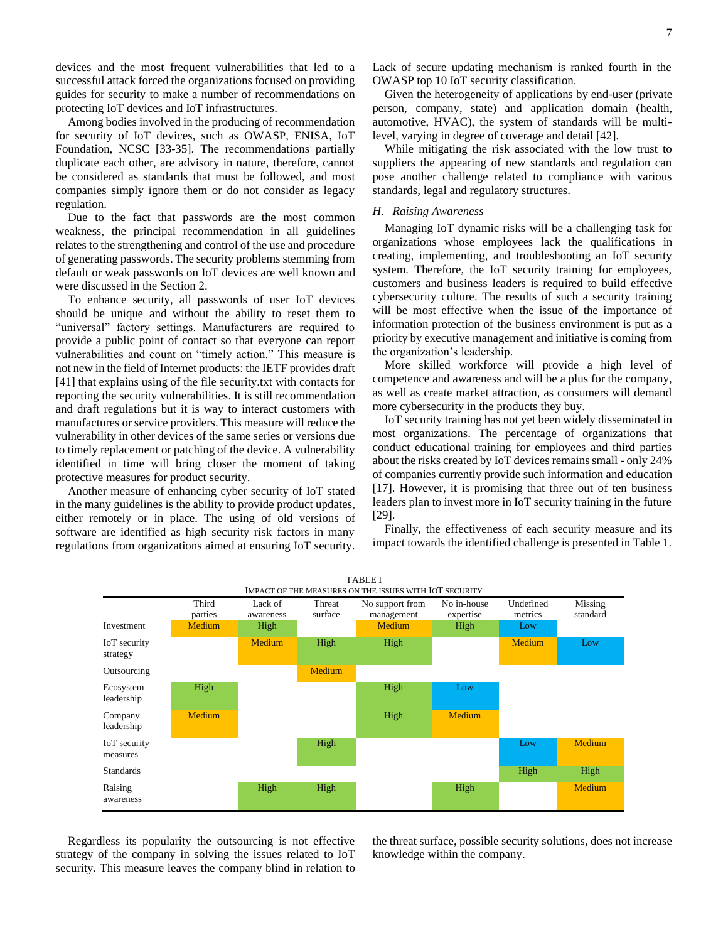devices and the most frequent vulnerabilities that led to a successful attack forced the organizations focused on providing guides for security to make a number of recommendations on protecting IoT devices and IoT infrastructures.

Among bodies involved in the producing of recommendation for security of IoT devices, such as OWASP, ENISA, IoT Foundation, NCSC [33-35]. The recommendations partially duplicate each other, are advisory in nature, therefore, cannot be considered as standards that must be followed, and most companies simply ignore them or do not consider as legacy regulation.

Due to the fact that passwords are the most common weakness, the principal recommendation in all guidelines relates to the strengthening and control of the use and procedure of generating passwords. The security problems stemming from default or weak passwords on IoT devices are well known and were discussed in the Section 2.

To enhance security, all passwords of user IoT devices should be unique and without the ability to reset them to "universal" factory settings. Manufacturers are required to provide a public point of contact so that everyone can report vulnerabilities and count on "timely action." This measure is not new in the field of Internet products: the IETF provides draft [41] that explains using of the file security.txt with contacts for reporting the security vulnerabilities. It is still recommendation and draft regulations but it is way to interact customers with manufactures or service providers. This measure will reduce the vulnerability in other devices of the same series or versions due to timely replacement or patching of the device. A vulnerability identified in time will bring closer the moment of taking protective measures for product security.

Another measure of enhancing cyber security of IoT stated in the many guidelines is the ability to provide product updates, either remotely or in place. The using of old versions of software are identified as high security risk factors in many regulations from organizations aimed at ensuring IoT security.

Lack of secure updating mechanism is ranked fourth in the OWASP top 10 IoT security classification.

Given the heterogeneity of applications by end-user (private person, company, state) and application domain (health, automotive, HVAC), the system of standards will be multilevel, varying in degree of coverage and detail [42].

While mitigating the risk associated with the low trust to suppliers the appearing of new standards and regulation can pose another challenge related to compliance with various standards, legal and regulatory structures.

#### *H. Raising Awareness*

Managing IoT dynamic risks will be a challenging task for organizations whose employees lack the qualifications in creating, implementing, and troubleshooting an IoT security system. Therefore, the IoT security training for employees, customers and business leaders is required to build effective cybersecurity culture. The results of such a security training will be most effective when the issue of the importance of information protection of the business environment is put as a priority by executive management and initiative is coming from the organization's leadership.

More skilled workforce will provide a high level of competence and awareness and will be a plus for the company, as well as create market attraction, as consumers will demand more cybersecurity in the products they buy.

IoT security training has not yet been widely disseminated in most organizations. The percentage of organizations that conduct educational training for employees and third parties about the risks created by IoT devices remains small - only 24% of companies currently provide such information and education [17]. However, it is promising that three out of ten business leaders plan to invest more in IoT security training in the future [29].

Finally, the effectiveness of each security measure and its impact towards the identified challenge is presented in Table 1.



Regardless its popularity the outsourcing is not effective strategy of the company in solving the issues related to IoT security. This measure leaves the company blind in relation to

the threat surface, possible security solutions, does not increase knowledge within the company.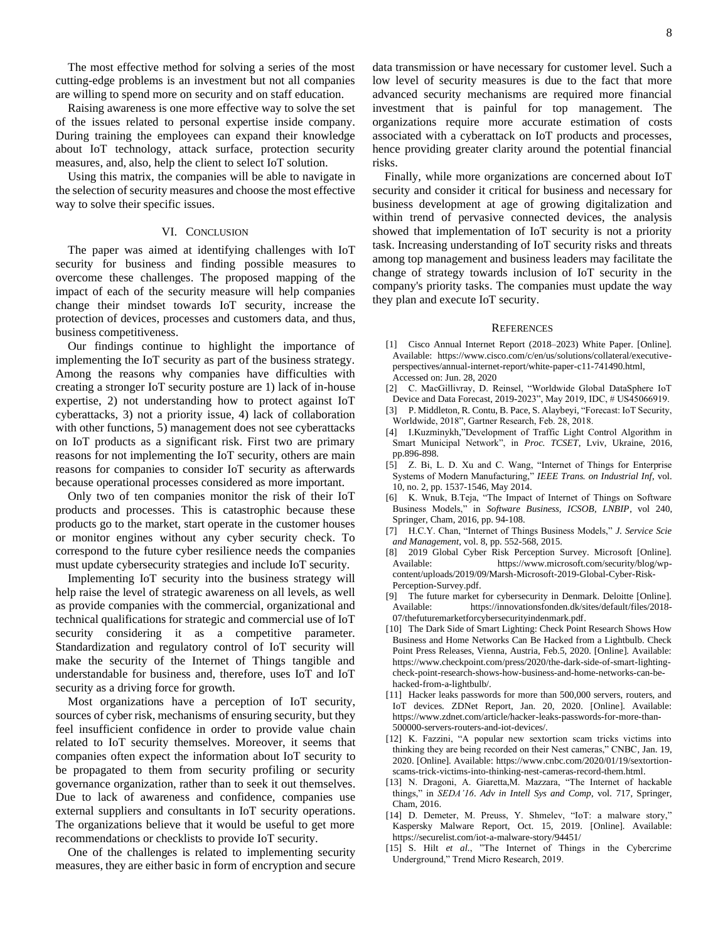The most effective method for solving a series of the most cutting-edge problems is an investment but not all companies are willing to spend more on security and on staff education.

Raising awareness is one more effective way to solve the set of the issues related to personal expertise inside company. During training the employees can expand their knowledge about IoT technology, attack surface, protection security measures, and, also, help the client to select IoT solution.

Using this matrix, the companies will be able to navigate in the selection of security measures and choose the most effective way to solve their specific issues.

#### VI. CONCLUSION

The paper was aimed at identifying challenges with IoT security for business and finding possible measures to overcome these challenges. The proposed mapping of the impact of each of the security measure will help companies change their mindset towards IoT security, increase the protection of devices, processes and customers data, and thus, business competitiveness.

Our findings continue to highlight the importance of implementing the IoT security as part of the business strategy. Among the reasons why companies have difficulties with creating a stronger IoT security posture are 1) lack of in-house expertise, 2) not understanding how to protect against IoT cyberattacks, 3) not a priority issue, 4) lack of collaboration with other functions, 5) management does not see cyberattacks on IoT products as a significant risk. First two are primary reasons for not implementing the IoT security, others are main reasons for companies to consider IoT security as afterwards because operational processes considered as more important.

Only two of ten companies monitor the risk of their IoT products and processes. This is catastrophic because these products go to the market, start operate in the customer houses or monitor engines without any cyber security check. To correspond to the future cyber resilience needs the companies must update cybersecurity strategies and include IoT security.

Implementing IoT security into the business strategy will help raise the level of strategic awareness on all levels, as well as provide companies with the commercial, organizational and technical qualifications for strategic and commercial use of IoT security considering it as a competitive parameter. Standardization and regulatory control of IoT security will make the security of the Internet of Things tangible and understandable for business and, therefore, uses IoT and IoT security as a driving force for growth.

Most organizations have a perception of IoT security, sources of cyber risk, mechanisms of ensuring security, but they feel insufficient confidence in order to provide value chain related to IoT security themselves. Moreover, it seems that companies often expect the information about IoT security to be propagated to them from security profiling or security governance organization, rather than to seek it out themselves. Due to lack of awareness and confidence, companies use external suppliers and consultants in IoT security operations. The organizations believe that it would be useful to get more recommendations or checklists to provide IoT security.

One of the challenges is related to implementing security measures, they are either basic in form of encryption and secure data transmission or have necessary for customer level. Such a low level of security measures is due to the fact that more advanced security mechanisms are required more financial investment that is painful for top management. The organizations require more accurate estimation of costs associated with a cyberattack on IoT products and processes, hence providing greater clarity around the potential financial risks.

Finally, while more organizations are concerned about IoT security and consider it critical for business and necessary for business development at age of growing digitalization and within trend of pervasive connected devices, the analysis showed that implementation of IoT security is not a priority task. Increasing understanding of IoT security risks and threats among top management and business leaders may facilitate the change of strategy towards inclusion of IoT security in the company's priority tasks. The companies must update the way they plan and execute IoT security.

#### **REFERENCES**

- [1] Cisco Annual Internet Report (2018–2023) White Paper. [Online]. Available: [https://www.cisco.com/c/en/us/solutions/collateral/executive](https://www.cisco.com/c/en/us/solutions/collateral/executive-perspectives/annual-internet-report/white-paper-c11-741490.html)[perspectives/annual-internet-report/white-paper-c11-741490.html,](https://www.cisco.com/c/en/us/solutions/collateral/executive-perspectives/annual-internet-report/white-paper-c11-741490.html) Accessed on: Jun. 28, 2020
- [2] C. MacGillivray, D. Reinsel, "Worldwide Global DataSphere IoT Device and Data Forecast, 2019-2023", May 2019, IDC, # US45066919.
- [3] P. Middleton, R. Contu, B. Pace, S. Alaybeyi, "Forecast: IoT Security, Worldwide, 2018", Gartner Research, Feb. 28, 2018.
- [4] I.Kuzminykh,"Development of Traffic Light Control Algorithm in Smart Municipal Network", in *Proc. TCSET*, Lviv, Ukraine, 2016, pp.896-898.
- [5] Z. Bi, L. D. Xu and C. Wang, "Internet of Things for Enterprise Systems of Modern Manufacturing," *IEEE Trans. on Industrial Inf*, vol. 10, no. 2, pp. 1537-1546, May 2014.
- [6] K. Wnuk, B.Teja, "The Impact of Internet of Things on Software Business Models," in *Software Business, ICSOB, LNBIP*, vol 240, Springer, Cham, 2016, pp. 94-108.
- [7] H.C.Y. Chan, "Internet of Things Business Models," *J. Service Scie and Management*, vol. 8, pp. 552-568, 2015.
- [8] 2019 Global Cyber Risk Perception Survey. Microsoft [Online]. Available: [https://www.microsoft.com/security/blog/wp](https://www.microsoft.com/security/blog/wp-content/uploads/2019/09/Marsh-Microsoft-2019-Global-Cyber-Risk-Perception-Survey.pdf)[content/uploads/2019/09/Marsh-Microsoft-2019-Global-Cyber-Risk-](https://www.microsoft.com/security/blog/wp-content/uploads/2019/09/Marsh-Microsoft-2019-Global-Cyber-Risk-Perception-Survey.pdf)[Perception-Survey.pdf.](https://www.microsoft.com/security/blog/wp-content/uploads/2019/09/Marsh-Microsoft-2019-Global-Cyber-Risk-Perception-Survey.pdf)
- [9] The future market for cybersecurity in Denmark. Deloitte [Online]. Available: [https://innovationsfonden.dk/sites/default/files/2018-](https://innovationsfonden.dk/sites/default/files/2018-07/thefuturemarketforcybersecurityindenmark.pdf) [07/thefuturemarketforcybersecurityindenmark.pdf.](https://innovationsfonden.dk/sites/default/files/2018-07/thefuturemarketforcybersecurityindenmark.pdf)
- [10] The Dark Side of Smart Lighting: Check Point Research Shows How Business and Home Networks Can Be Hacked from a Lightbulb. Check Point Press Releases, Vienna, Austria, Feb.5, 2020. [Online]. Available: [https://www.checkpoint.com/press/2020/the-dark-side-of-smart-lighting](https://www.checkpoint.com/press/2020/the-dark-side-of-smart-lighting-check-point-research-shows-how-business-and-home-networks-can-be-hacked-from-a-lightbulb/)[check-point-research-shows-how-business-and-home-networks-can-be](https://www.checkpoint.com/press/2020/the-dark-side-of-smart-lighting-check-point-research-shows-how-business-and-home-networks-can-be-hacked-from-a-lightbulb/)[hacked-from-a-lightbulb/.](https://www.checkpoint.com/press/2020/the-dark-side-of-smart-lighting-check-point-research-shows-how-business-and-home-networks-can-be-hacked-from-a-lightbulb/)
- [11] Hacker leaks passwords for more than 500,000 servers, routers, and IoT devices. ZDNet Report, Jan. 20, 2020. [Online]. Available: [https://www.zdnet.com/article/hacker-leaks-passwords-for-more-than-](https://www.zdnet.com/article/hacker-leaks-passwords-for-more-than-500000-servers-routers-and-iot-devices/)[500000-servers-routers-and-iot-devices/.](https://www.zdnet.com/article/hacker-leaks-passwords-for-more-than-500000-servers-routers-and-iot-devices/)
- [12] K. Fazzini, "A popular new sextortion scam tricks victims into thinking they are being recorded on their Nest cameras," CNBC, Jan. 19, 2020. [Online]. Available: [https://www.cnbc.com/2020/01/19/sextortion](https://www.cnbc.com/2020/01/19/sextortion-scams-trick-victims-into-thinking-nest-cameras-record-them.html)[scams-trick-victims-into-thinking-nest-cameras-record-them.html.](https://www.cnbc.com/2020/01/19/sextortion-scams-trick-victims-into-thinking-nest-cameras-record-them.html)
- [13] N. Dragoni, A. Giaretta,M. Mazzara, "The Internet of hackable things," in *SEDA'16*. *Adv in Intell Sys and Comp*, vol. 717, Springer, Cham, 2016.
- [14] D. Demeter, M. Preuss, Y. Shmelev, "IoT: a malware story," Kaspersky Malware Report, Oct. 15, 2019. [Online]. Available: https://securelist.com/iot-a-malware-story/94451/
- [15] S. Hilt *et al.*, "The Internet of Things in the Cybercrime Underground," Trend Micro Research, 2019.